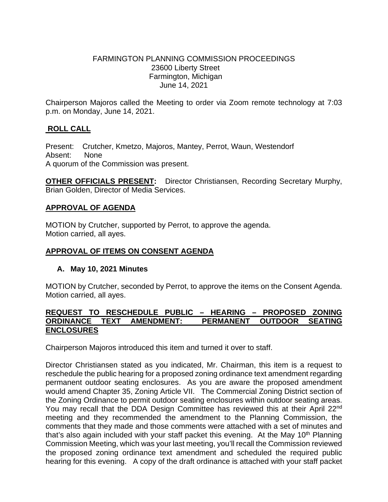## FARMINGTON PLANNING COMMISSION PROCEEDINGS 23600 Liberty Street Farmington, Michigan June 14, 2021

Chairperson Majoros called the Meeting to order via Zoom remote technology at 7:03 p.m. on Monday, June 14, 2021.

# **ROLL CALL**

Present: Crutcher, Kmetzo, Majoros, Mantey, Perrot, Waun, Westendorf Absent: None A quorum of the Commission was present.

**OTHER OFFICIALS PRESENT:** Director Christiansen, Recording Secretary Murphy, Brian Golden, Director of Media Services.

## **APPROVAL OF AGENDA**

MOTION by Crutcher, supported by Perrot, to approve the agenda. Motion carried, all ayes.

# **APPROVAL OF ITEMS ON CONSENT AGENDA**

#### **A. May 10, 2021 Minutes**

MOTION by Crutcher, seconded by Perrot, to approve the items on the Consent Agenda. Motion carried, all ayes.

#### **REQUEST TO RESCHEDULE PUBLIC – HEARING – PROPOSED ZONING ORDINANCE TEXT AMENDMENT: ENCLOSURES**

Chairperson Majoros introduced this item and turned it over to staff.

Director Christiansen stated as you indicated, Mr. Chairman, this item is a request to reschedule the public hearing for a proposed zoning ordinance text amendment regarding permanent outdoor seating enclosures. As you are aware the proposed amendment would amend Chapter 35, Zoning Article VII. The Commercial Zoning District section of the Zoning Ordinance to permit outdoor seating enclosures within outdoor seating areas. You may recall that the DDA Design Committee has reviewed this at their April 22nd meeting and they recommended the amendment to the Planning Commission, the comments that they made and those comments were attached with a set of minutes and that's also again included with your staff packet this evening. At the May 10<sup>th</sup> Planning Commission Meeting, which was your last meeting, you'll recall the Commission reviewed the proposed zoning ordinance text amendment and scheduled the required public hearing for this evening. A copy of the draft ordinance is attached with your staff packet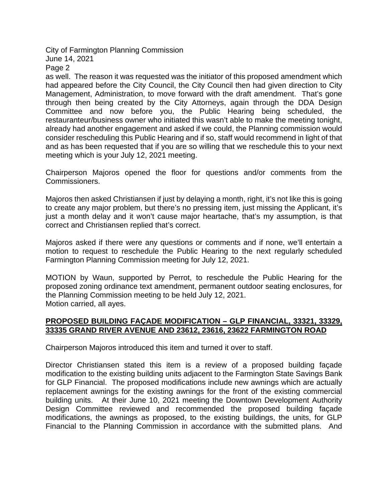City of Farmington Planning Commission June 14, 2021

Page 2

as well. The reason it was requested was the initiator of this proposed amendment which had appeared before the City Council, the City Council then had given direction to City Management, Administration, to move forward with the draft amendment. That's gone through then being created by the City Attorneys, again through the DDA Design Committee and now before you, the Public Hearing being scheduled, the restauranteur/business owner who initiated this wasn't able to make the meeting tonight, already had another engagement and asked if we could, the Planning commission would consider rescheduling this Public Hearing and if so, staff would recommend in light of that and as has been requested that if you are so willing that we reschedule this to your next meeting which is your July 12, 2021 meeting.

Chairperson Majoros opened the floor for questions and/or comments from the Commissioners.

Majoros then asked Christiansen if just by delaying a month, right, it's not like this is going to create any major problem, but there's no pressing item, just missing the Applicant, it's just a month delay and it won't cause major heartache, that's my assumption, is that correct and Christiansen replied that's correct.

Majoros asked if there were any questions or comments and if none, we'll entertain a motion to request to reschedule the Public Hearing to the next regularly scheduled Farmington Planning Commission meeting for July 12, 2021.

MOTION by Waun, supported by Perrot, to reschedule the Public Hearing for the proposed zoning ordinance text amendment, permanent outdoor seating enclosures, for the Planning Commission meeting to be held July 12, 2021. Motion carried, all ayes.

# **PROPOSED BUILDING FAÇADE MODIFICATION – GLP FINANCIAL, 33321, 33329, 33335 GRAND RIVER AVENUE AND 23612, 23616, 23622 FARMINGTON ROAD**

Chairperson Majoros introduced this item and turned it over to staff.

Director Christiansen stated this item is a review of a proposed building façade modification to the existing building units adjacent to the Farmington State Savings Bank for GLP Financial. The proposed modifications include new awnings which are actually replacement awnings for the existing awnings for the front of the existing commercial building units. At their June 10, 2021 meeting the Downtown Development Authority Design Committee reviewed and recommended the proposed building façade modifications, the awnings as proposed, to the existing buildings, the units, for GLP Financial to the Planning Commission in accordance with the submitted plans. And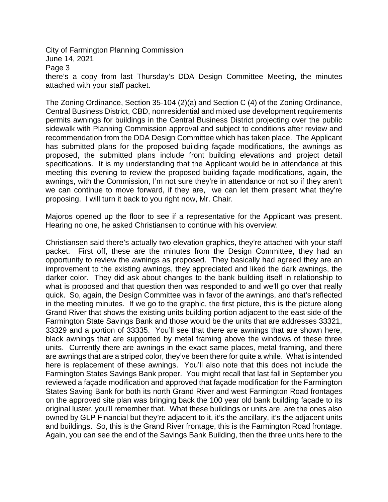City of Farmington Planning Commission June 14, 2021 Page 3

there's a copy from last Thursday's DDA Design Committee Meeting, the minutes attached with your staff packet.

The Zoning Ordinance, Section 35-104 (2)(a) and Section C (4) of the Zoning Ordinance, Central Business District, CBD, nonresidential and mixed use development requirements permits awnings for buildings in the Central Business District projecting over the public sidewalk with Planning Commission approval and subject to conditions after review and recommendation from the DDA Design Committee which has taken place. The Applicant has submitted plans for the proposed building façade modifications, the awnings as proposed, the submitted plans include front building elevations and project detail specifications. It is my understanding that the Applicant would be in attendance at this meeting this evening to review the proposed building façade modifications, again, the awnings, with the Commission, I'm not sure they're in attendance or not so if they aren't we can continue to move forward, if they are, we can let them present what they're proposing. I will turn it back to you right now, Mr. Chair.

Majoros opened up the floor to see if a representative for the Applicant was present. Hearing no one, he asked Christiansen to continue with his overview.

Christiansen said there's actually two elevation graphics, they're attached with your staff packet. First off, these are the minutes from the Design Committee, they had an opportunity to review the awnings as proposed. They basically had agreed they are an improvement to the existing awnings, they appreciated and liked the dark awnings, the darker color. They did ask about changes to the bank building itself in relationship to what is proposed and that question then was responded to and we'll go over that really quick. So, again, the Design Committee was in favor of the awnings, and that's reflected in the meeting minutes. If we go to the graphic, the first picture, this is the picture along Grand River that shows the existing units building portion adjacent to the east side of the Farmington State Savings Bank and those would be the units that are addresses 33321, 33329 and a portion of 33335. You'll see that there are awnings that are shown here, black awnings that are supported by metal framing above the windows of these three units. Currently there are awnings in the exact same places, metal framing, and there are awnings that are a striped color, they've been there for quite a while. What is intended here is replacement of these awnings. You'll also note that this does not include the Farmington States Savings Bank proper. You might recall that last fall in September you reviewed a façade modification and approved that façade modification for the Farmington States Saving Bank for both its north Grand River and west Farmington Road frontages on the approved site plan was bringing back the 100 year old bank building façade to its original luster, you'll remember that. What these buildings or units are, are the ones also owned by GLP Financial but they're adjacent to it, it's the ancillary, it's the adjacent units and buildings. So, this is the Grand River frontage, this is the Farmington Road frontage. Again, you can see the end of the Savings Bank Building, then the three units here to the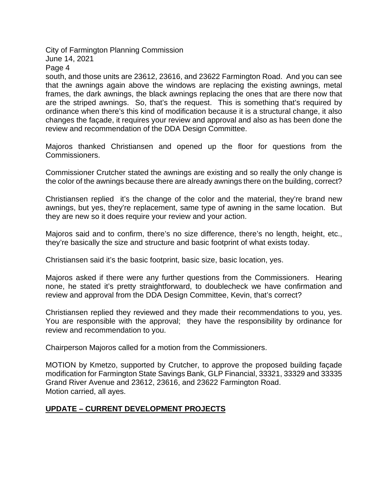City of Farmington Planning Commission

June 14, 2021

Page 4

south, and those units are 23612, 23616, and 23622 Farmington Road. And you can see that the awnings again above the windows are replacing the existing awnings, metal frames, the dark awnings, the black awnings replacing the ones that are there now that are the striped awnings. So, that's the request. This is something that's required by ordinance when there's this kind of modification because it is a structural change, it also changes the façade, it requires your review and approval and also as has been done the review and recommendation of the DDA Design Committee.

Majoros thanked Christiansen and opened up the floor for questions from the Commissioners.

Commissioner Crutcher stated the awnings are existing and so really the only change is the color of the awnings because there are already awnings there on the building, correct?

Christiansen replied it's the change of the color and the material, they're brand new awnings, but yes, they're replacement, same type of awning in the same location. But they are new so it does require your review and your action.

Majoros said and to confirm, there's no size difference, there's no length, height, etc., they're basically the size and structure and basic footprint of what exists today.

Christiansen said it's the basic footprint, basic size, basic location, yes.

Majoros asked if there were any further questions from the Commissioners. Hearing none, he stated it's pretty straightforward, to doublecheck we have confirmation and review and approval from the DDA Design Committee, Kevin, that's correct?

Christiansen replied they reviewed and they made their recommendations to you, yes. You are responsible with the approval; they have the responsibility by ordinance for review and recommendation to you.

Chairperson Majoros called for a motion from the Commissioners.

MOTION by Kmetzo, supported by Crutcher, to approve the proposed building façade modification for Farmington State Savings Bank, GLP Financial, 33321, 33329 and 33335 Grand River Avenue and 23612, 23616, and 23622 Farmington Road. Motion carried, all ayes.

# **UPDATE – CURRENT DEVELOPMENT PROJECTS**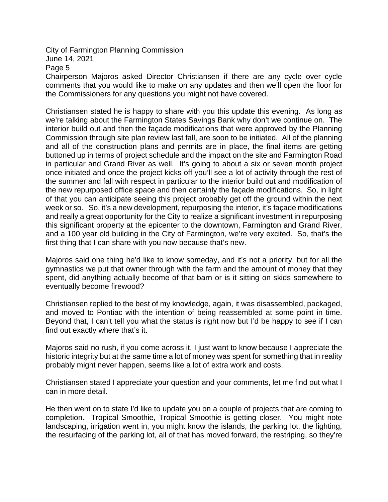# City of Farmington Planning Commission June 14, 2021 Page 5

Chairperson Majoros asked Director Christiansen if there are any cycle over cycle comments that you would like to make on any updates and then we'll open the floor for the Commissioners for any questions you might not have covered.

Christiansen stated he is happy to share with you this update this evening. As long as we're talking about the Farmington States Savings Bank why don't we continue on. The interior build out and then the façade modifications that were approved by the Planning Commission through site plan review last fall, are soon to be initiated. All of the planning and all of the construction plans and permits are in place, the final items are getting buttoned up in terms of project schedule and the impact on the site and Farmington Road in particular and Grand River as well. It's going to about a six or seven month project once initiated and once the project kicks off you'll see a lot of activity through the rest of the summer and fall with respect in particular to the interior build out and modification of the new repurposed office space and then certainly the façade modifications. So, in light of that you can anticipate seeing this project probably get off the ground within the next week or so. So, it's a new development, repurposing the interior, it's façade modifications and really a great opportunity for the City to realize a significant investment in repurposing this significant property at the epicenter to the downtown, Farmington and Grand River, and a 100 year old building in the City of Farmington, we're very excited. So, that's the first thing that I can share with you now because that's new.

Majoros said one thing he'd like to know someday, and it's not a priority, but for all the gymnastics we put that owner through with the farm and the amount of money that they spent, did anything actually become of that barn or is it sitting on skids somewhere to eventually become firewood?

Christiansen replied to the best of my knowledge, again, it was disassembled, packaged, and moved to Pontiac with the intention of being reassembled at some point in time. Beyond that, I can't tell you what the status is right now but I'd be happy to see if I can find out exactly where that's it.

Majoros said no rush, if you come across it, I just want to know because I appreciate the historic integrity but at the same time a lot of money was spent for something that in reality probably might never happen, seems like a lot of extra work and costs.

Christiansen stated I appreciate your question and your comments, let me find out what I can in more detail.

He then went on to state I'd like to update you on a couple of projects that are coming to completion. Tropical Smoothie, Tropical Smoothie is getting closer. You might note landscaping, irrigation went in, you might know the islands, the parking lot, the lighting, the resurfacing of the parking lot, all of that has moved forward, the restriping, so they're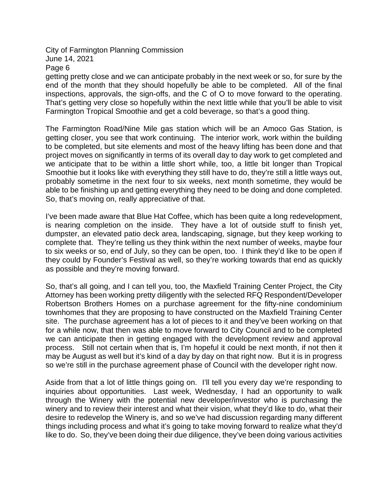City of Farmington Planning Commission June 14, 2021 Page 6

getting pretty close and we can anticipate probably in the next week or so, for sure by the end of the month that they should hopefully be able to be completed. All of the final inspections, approvals, the sign-offs, and the C of O to move forward to the operating. That's getting very close so hopefully within the next little while that you'll be able to visit Farmington Tropical Smoothie and get a cold beverage, so that's a good thing.

The Farmington Road/Nine Mile gas station which will be an Amoco Gas Station, is getting closer, you see that work continuing. The interior work, work within the building to be completed, but site elements and most of the heavy lifting has been done and that project moves on significantly in terms of its overall day to day work to get completed and we anticipate that to be within a little short while, too, a little bit longer than Tropical Smoothie but it looks like with everything they still have to do, they're still a little ways out, probably sometime in the next four to six weeks, next month sometime, they would be able to be finishing up and getting everything they need to be doing and done completed. So, that's moving on, really appreciative of that.

I've been made aware that Blue Hat Coffee, which has been quite a long redevelopment, is nearing completion on the inside. They have a lot of outside stuff to finish yet, dumpster, an elevated patio deck area, landscaping, signage, but they keep working to complete that. They're telling us they think within the next number of weeks, maybe four to six weeks or so, end of July, so they can be open, too. I think they'd like to be open if they could by Founder's Festival as well, so they're working towards that end as quickly as possible and they're moving forward.

So, that's all going, and I can tell you, too, the Maxfield Training Center Project, the City Attorney has been working pretty diligently with the selected RFQ Respondent/Developer Robertson Brothers Homes on a purchase agreement for the fifty-nine condominium townhomes that they are proposing to have constructed on the Maxfield Training Center site. The purchase agreement has a lot of pieces to it and they've been working on that for a while now, that then was able to move forward to City Council and to be completed we can anticipate then in getting engaged with the development review and approval process. Still not certain when that is, I'm hopeful it could be next month, if not then it may be August as well but it's kind of a day by day on that right now. But it is in progress so we're still in the purchase agreement phase of Council with the developer right now.

Aside from that a lot of little things going on. I'll tell you every day we're responding to inquiries about opportunities. Last week, Wednesday, I had an opportunity to walk through the Winery with the potential new developer/investor who is purchasing the winery and to review their interest and what their vision, what they'd like to do, what their desire to redevelop the Winery is, and so we've had discussion regarding many different things including process and what it's going to take moving forward to realize what they'd like to do. So, they've been doing their due diligence, they've been doing various activities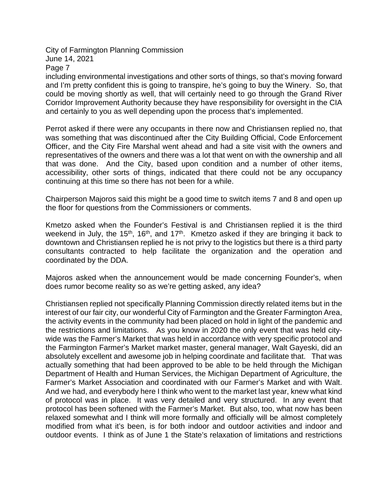City of Farmington Planning Commission June 14, 2021

Page 7

including environmental investigations and other sorts of things, so that's moving forward and I'm pretty confident this is going to transpire, he's going to buy the Winery. So, that could be moving shortly as well, that will certainly need to go through the Grand River Corridor Improvement Authority because they have responsibility for oversight in the CIA and certainly to you as well depending upon the process that's implemented.

Perrot asked if there were any occupants in there now and Christiansen replied no, that was something that was discontinued after the City Building Official, Code Enforcement Officer, and the City Fire Marshal went ahead and had a site visit with the owners and representatives of the owners and there was a lot that went on with the ownership and all that was done. And the City, based upon condition and a number of other items, accessibility, other sorts of things, indicated that there could not be any occupancy continuing at this time so there has not been for a while.

Chairperson Majoros said this might be a good time to switch items 7 and 8 and open up the floor for questions from the Commissioners or comments.

Kmetzo asked when the Founder's Festival is and Christiansen replied it is the third weekend in July, the 15<sup>th</sup>, 16<sup>th</sup>, and 17<sup>th</sup>. Kmetzo asked if they are bringing it back to downtown and Christiansen replied he is not privy to the logistics but there is a third party consultants contracted to help facilitate the organization and the operation and coordinated by the DDA.

Majoros asked when the announcement would be made concerning Founder's, when does rumor become reality so as we're getting asked, any idea?

Christiansen replied not specifically Planning Commission directly related items but in the interest of our fair city, our wonderful City of Farmington and the Greater Farmington Area, the activity events in the community had been placed on hold in light of the pandemic and the restrictions and limitations. As you know in 2020 the only event that was held citywide was the Farmer's Market that was held in accordance with very specific protocol and the Farmington Farmer's Market market master, general manager, Walt Gayeski, did an absolutely excellent and awesome job in helping coordinate and facilitate that. That was actually something that had been approved to be able to be held through the Michigan Department of Health and Human Services, the Michigan Department of Agriculture, the Farmer's Market Association and coordinated with our Farmer's Market and with Walt. And we had, and everybody here I think who went to the market last year, knew what kind of protocol was in place. It was very detailed and very structured. In any event that protocol has been softened with the Farmer's Market. But also, too, what now has been relaxed somewhat and I think will more formally and officially will be almost completely modified from what it's been, is for both indoor and outdoor activities and indoor and outdoor events. I think as of June 1 the State's relaxation of limitations and restrictions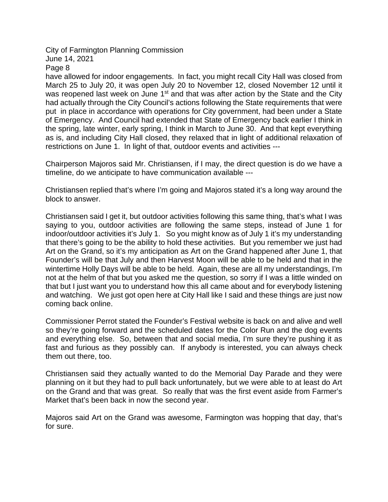City of Farmington Planning Commission June 14, 2021

Page 8

have allowed for indoor engagements. In fact, you might recall City Hall was closed from March 25 to July 20, it was open July 20 to November 12, closed November 12 until it was reopened last week on June 1<sup>st</sup> and that was after action by the State and the City had actually through the City Council's actions following the State requirements that were put in place in accordance with operations for City government, had been under a State of Emergency. And Council had extended that State of Emergency back earlier I think in the spring, late winter, early spring, I think in March to June 30. And that kept everything as is, and including City Hall closed, they relaxed that in light of additional relaxation of restrictions on June 1. In light of that, outdoor events and activities ---

Chairperson Majoros said Mr. Christiansen, if I may, the direct question is do we have a timeline, do we anticipate to have communication available ---

Christiansen replied that's where I'm going and Majoros stated it's a long way around the block to answer.

Christiansen said I get it, but outdoor activities following this same thing, that's what I was saying to you, outdoor activities are following the same steps, instead of June 1 for indoor/outdoor activities it's July 1. So you might know as of July 1 it's my understanding that there's going to be the ability to hold these activities. But you remember we just had Art on the Grand, so it's my anticipation as Art on the Grand happened after June 1, that Founder's will be that July and then Harvest Moon will be able to be held and that in the wintertime Holly Days will be able to be held. Again, these are all my understandings, I'm not at the helm of that but you asked me the question, so sorry if I was a little winded on that but I just want you to understand how this all came about and for everybody listening and watching. We just got open here at City Hall like I said and these things are just now coming back online.

Commissioner Perrot stated the Founder's Festival website is back on and alive and well so they're going forward and the scheduled dates for the Color Run and the dog events and everything else. So, between that and social media, I'm sure they're pushing it as fast and furious as they possibly can. If anybody is interested, you can always check them out there, too.

Christiansen said they actually wanted to do the Memorial Day Parade and they were planning on it but they had to pull back unfortunately, but we were able to at least do Art on the Grand and that was great. So really that was the first event aside from Farmer's Market that's been back in now the second year.

Majoros said Art on the Grand was awesome, Farmington was hopping that day, that's for sure.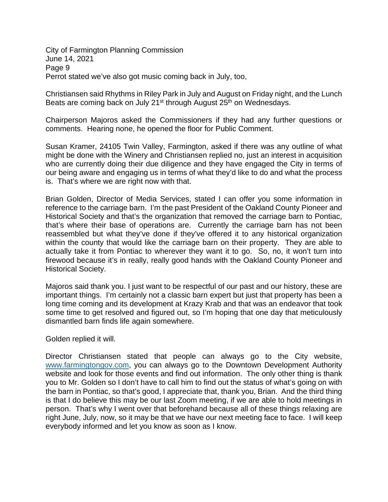City of Farmington Planning Commission June 14, 2021 Page 9 Perrot stated we've also got music coming back in July, too,

Christiansen said Rhythms in Riley Park in July and August on Friday night, and the Lunch Beats are coming back on July 21<sup>st</sup> through August 25<sup>th</sup> on Wednesdays.

Chairperson Majoros asked the Commissioners if they had any further questions or comments. Hearing none, he opened the floor for Public Comment.

Susan Kramer, 24105 Twin Valley, Farmington, asked if there was any outline of what might be done with the Winery and Christiansen replied no, just an interest in acquisition who are currently doing their due diligence and they have engaged the City in terms of our being aware and engaging us in terms of what they'd like to do and what the process is. That's where we are right now with that.

Brian Golden, Director of Media Services, stated I can offer you some information in reference to the carriage barn. I'm the past President of the Oakland County Pioneer and Historical Society and that's the organization that removed the carriage barn to Pontiac, that's where their base of operations are. Currently the carriage barn has not been reassembled but what they've done if they've offered it to any historical organization within the county that would like the carriage barn on their property. They are able to actually take it from Pontiac to wherever they want it to go. So, no, it won't turn into firewood because it's in really, really good hands with the Oakland County Pioneer and Historical Society.

Majoros said thank you. I just want to be respectful of our past and our history, these are important things. I'm certainly not a classic barn expert but just that property has been a long time coming and its development at Krazy Krab and that was an endeavor that took some time to get resolved and figured out, so I'm hoping that one day that meticulously dismantled barn finds life again somewhere.

Golden replied it will.

Director Christiansen stated that people can always go to the City website, [www.farmingtongov.com,](http://www.farmingtongov.com/) you can always go to the Downtown Development Authority website and look for those events and find out information. The only other thing is thank you to Mr. Golden so I don't have to call him to find out the status of what's going on with the barn in Pontiac, so that's good, I appreciate that, thank you, Brian. And the third thing is that I do believe this may be our last Zoom meeting, if we are able to hold meetings in person. That's why I went over that beforehand because all of these things relaxing are right June, July, now, so it may be that we have our next meeting face to face. I will keep everybody informed and let you know as soon as I know.